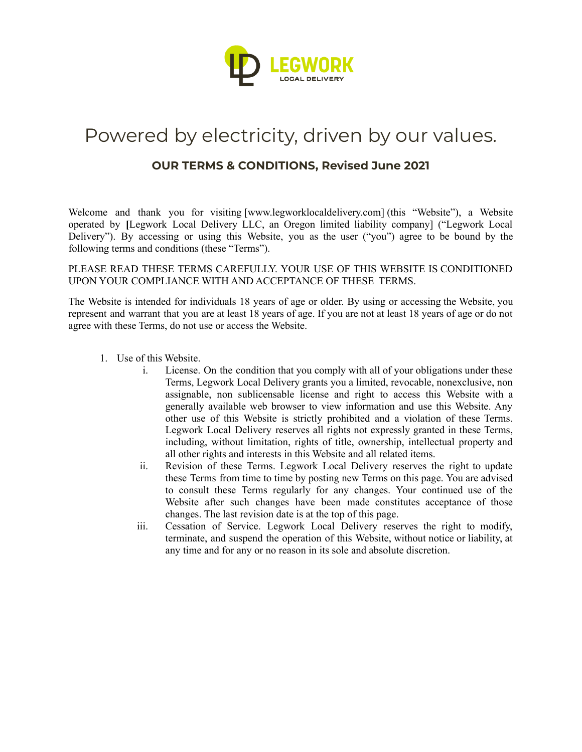

## Powered by electricity, driven by our values.

## **OUR TERMS & CONDITIONS, Revised June 2021**

Welcome and thank you for visiting [\[www.legworklocaldelivery.com\]](https://www.newislandcap.com/) (this "Website"), a Website operated by **[**Legwork Local Delivery LLC, an Oregon limited liability company] ("Legwork Local Delivery"). By accessing or using this Website, you as the user ("you") agree to be bound by the following terms and conditions (these "Terms").

PLEASE READ THESE TERMS CAREFULLY. YOUR USE OF THIS WEBSITE IS CONDITIONED UPON YOUR COMPLIANCE WITH AND ACCEPTANCE OF THESE TERMS.

The Website is intended for individuals 18 years of age or older. By using or accessing the Website, you represent and warrant that you are at least 18 years of age. If you are not at least 18 years of age or do not agree with these Terms, do not use or access the Website.

- 1. Use of this Website.
	- i. License. On the condition that you comply with all of your obligations under these Terms, Legwork Local Delivery grants you a limited, revocable, nonexclusive, non assignable, non sublicensable license and right to access this Website with a generally available web browser to view information and use this Website. Any other use of this Website is strictly prohibited and a violation of these Terms. Legwork Local Delivery reserves all rights not expressly granted in these Terms, including, without limitation, rights of title, ownership, intellectual property and all other rights and interests in this Website and all related items.
	- ii. Revision of these Terms. Legwork Local Delivery reserves the right to update these Terms from time to time by posting new Terms on this page. You are advised to consult these Terms regularly for any changes. Your continued use of the Website after such changes have been made constitutes acceptance of those changes. The last revision date is at the top of this page.
	- iii. Cessation of Service. Legwork Local Delivery reserves the right to modify, terminate, and suspend the operation of this Website, without notice or liability, at any time and for any or no reason in its sole and absolute discretion.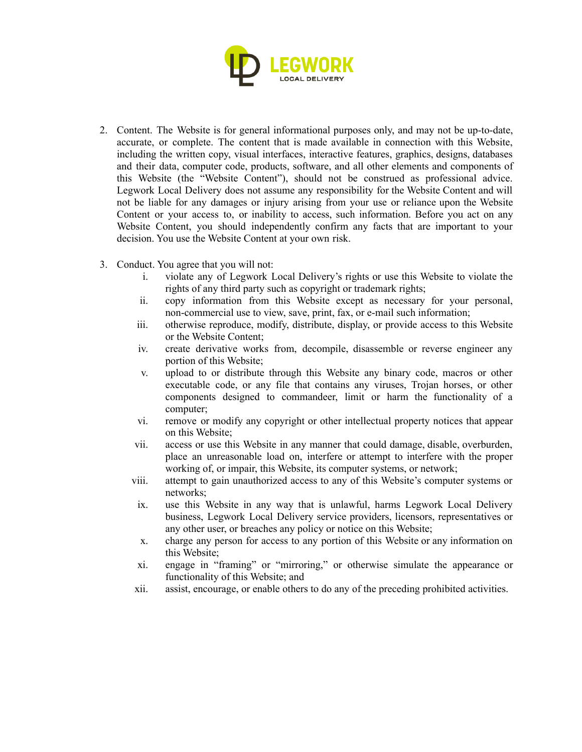

- 2. Content. The Website is for general informational purposes only, and may not be up-to-date, accurate, or complete. The content that is made available in connection with this Website, including the written copy, visual interfaces, interactive features, graphics, designs, databases and their data, computer code, products, software, and all other elements and components of this Website (the "Website Content"), should not be construed as professional advice. Legwork Local Delivery does not assume any responsibility for the Website Content and will not be liable for any damages or injury arising from your use or reliance upon the Website Content or your access to, or inability to access, such information. Before you act on any Website Content, you should independently confirm any facts that are important to your decision. You use the Website Content at your own risk.
- 3. Conduct. You agree that you will not:
	- i. violate any of Legwork Local Delivery's rights or use this Website to violate the rights of any third party such as copyright or trademark rights;
	- ii. copy information from this Website except as necessary for your personal, non-commercial use to view, save, print, fax, or e-mail such information;
	- iii. otherwise reproduce, modify, distribute, display, or provide access to this Website or the Website Content;
	- iv. create derivative works from, decompile, disassemble or reverse engineer any portion of this Website;
	- v. upload to or distribute through this Website any binary code, macros or other executable code, or any file that contains any viruses, Trojan horses, or other components designed to commandeer, limit or harm the functionality of a computer;
	- vi. remove or modify any copyright or other intellectual property notices that appear on this Website;
	- vii. access or use this Website in any manner that could damage, disable, overburden, place an unreasonable load on, interfere or attempt to interfere with the proper working of, or impair, this Website, its computer systems, or network;
	- viii. attempt to gain unauthorized access to any of this Website's computer systems or networks;
	- ix. use this Website in any way that is unlawful, harms Legwork Local Delivery business, Legwork Local Delivery service providers, licensors, representatives or any other user, or breaches any policy or notice on this Website;
	- x. charge any person for access to any portion of this Website or any information on this Website;
	- xi. engage in "framing" or "mirroring," or otherwise simulate the appearance or functionality of this Website; and
	- xii. assist, encourage, or enable others to do any of the preceding prohibited activities.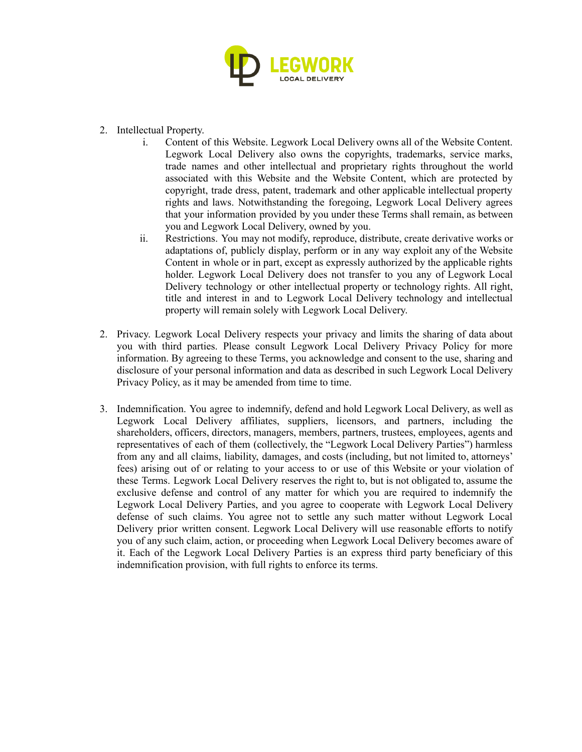

- 2. Intellectual Property.
	- i. Content of this Website. Legwork Local Delivery owns all of the Website Content. Legwork Local Delivery also owns the copyrights, trademarks, service marks, trade names and other intellectual and proprietary rights throughout the world associated with this Website and the Website Content, which are protected by copyright, trade dress, patent, trademark and other applicable intellectual property rights and laws. Notwithstanding the foregoing, Legwork Local Delivery agrees that your information provided by you under these Terms shall remain, as between you and Legwork Local Delivery, owned by you.
	- ii. Restrictions. You may not modify, reproduce, distribute, create derivative works or adaptations of, publicly display, perform or in any way exploit any of the Website Content in whole or in part, except as expressly authorized by the applicable rights holder. Legwork Local Delivery does not transfer to you any of Legwork Local Delivery technology or other intellectual property or technology rights. All right, title and interest in and to Legwork Local Delivery technology and intellectual property will remain solely with Legwork Local Delivery.
- 2. Privacy. Legwork Local Delivery respects your privacy and limits the sharing of data about you with third parties. Please consult Legwork Local Delivery Privacy Policy for more information. By agreeing to these Terms, you acknowledge and consent to the use, sharing and disclosure of your personal information and data as described in such Legwork Local Delivery Privacy Policy, as it may be amended from time to time.
- 3. Indemnification. You agree to indemnify, defend and hold Legwork Local Delivery, as well as Legwork Local Delivery affiliates, suppliers, licensors, and partners, including the shareholders, officers, directors, managers, members, partners, trustees, employees, agents and representatives of each of them (collectively, the "Legwork Local Delivery Parties") harmless from any and all claims, liability, damages, and costs (including, but not limited to, attorneys' fees) arising out of or relating to your access to or use of this Website or your violation of these Terms. Legwork Local Delivery reserves the right to, but is not obligated to, assume the exclusive defense and control of any matter for which you are required to indemnify the Legwork Local Delivery Parties, and you agree to cooperate with Legwork Local Delivery defense of such claims. You agree not to settle any such matter without Legwork Local Delivery prior written consent. Legwork Local Delivery will use reasonable efforts to notify you of any such claim, action, or proceeding when Legwork Local Delivery becomes aware of it. Each of the Legwork Local Delivery Parties is an express third party beneficiary of this indemnification provision, with full rights to enforce its terms.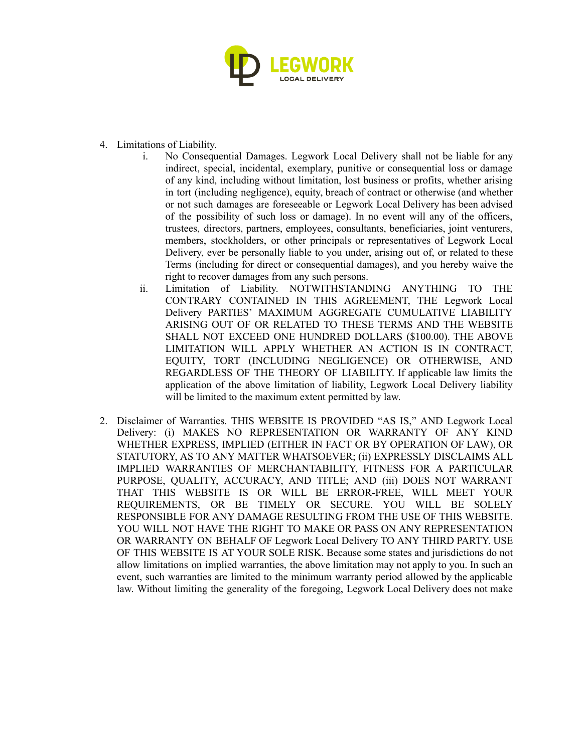

- 4. Limitations of Liability.
	- i. No Consequential Damages. Legwork Local Delivery shall not be liable for any indirect, special, incidental, exemplary, punitive or consequential loss or damage of any kind, including without limitation, lost business or profits, whether arising in tort (including negligence), equity, breach of contract or otherwise (and whether or not such damages are foreseeable or Legwork Local Delivery has been advised of the possibility of such loss or damage). In no event will any of the officers, trustees, directors, partners, employees, consultants, beneficiaries, joint venturers, members, stockholders, or other principals or representatives of Legwork Local Delivery, ever be personally liable to you under, arising out of, or related to these Terms (including for direct or consequential damages), and you hereby waive the right to recover damages from any such persons.
	- ii. Limitation of Liability. NOTWITHSTANDING ANYTHING TO THE CONTRARY CONTAINED IN THIS AGREEMENT, THE Legwork Local Delivery PARTIES' MAXIMUM AGGREGATE CUMULATIVE LIABILITY ARISING OUT OF OR RELATED TO THESE TERMS AND THE WEBSITE SHALL NOT EXCEED ONE HUNDRED DOLLARS (\$100.00). THE ABOVE LIMITATION WILL APPLY WHETHER AN ACTION IS IN CONTRACT, EQUITY, TORT (INCLUDING NEGLIGENCE) OR OTHERWISE, AND REGARDLESS OF THE THEORY OF LIABILITY. If applicable law limits the application of the above limitation of liability, Legwork Local Delivery liability will be limited to the maximum extent permitted by law.
- 2. Disclaimer of Warranties. THIS WEBSITE IS PROVIDED "AS IS," AND Legwork Local Delivery: (i) MAKES NO REPRESENTATION OR WARRANTY OF ANY KIND WHETHER EXPRESS, IMPLIED (EITHER IN FACT OR BY OPERATION OF LAW), OR STATUTORY, AS TO ANY MATTER WHATSOEVER; (ii) EXPRESSLY DISCLAIMS ALL IMPLIED WARRANTIES OF MERCHANTABILITY, FITNESS FOR A PARTICULAR PURPOSE, QUALITY, ACCURACY, AND TITLE; AND (iii) DOES NOT WARRANT THAT THIS WEBSITE IS OR WILL BE ERROR-FREE, WILL MEET YOUR REQUIREMENTS, OR BE TIMELY OR SECURE. YOU WILL BE SOLELY RESPONSIBLE FOR ANY DAMAGE RESULTING FROM THE USE OF THIS WEBSITE. YOU WILL NOT HAVE THE RIGHT TO MAKE OR PASS ON ANY REPRESENTATION OR WARRANTY ON BEHALF OF Legwork Local Delivery TO ANY THIRD PARTY. USE OF THIS WEBSITE IS AT YOUR SOLE RISK. Because some states and jurisdictions do not allow limitations on implied warranties, the above limitation may not apply to you. In such an event, such warranties are limited to the minimum warranty period allowed by the applicable law. Without limiting the generality of the foregoing, Legwork Local Delivery does not make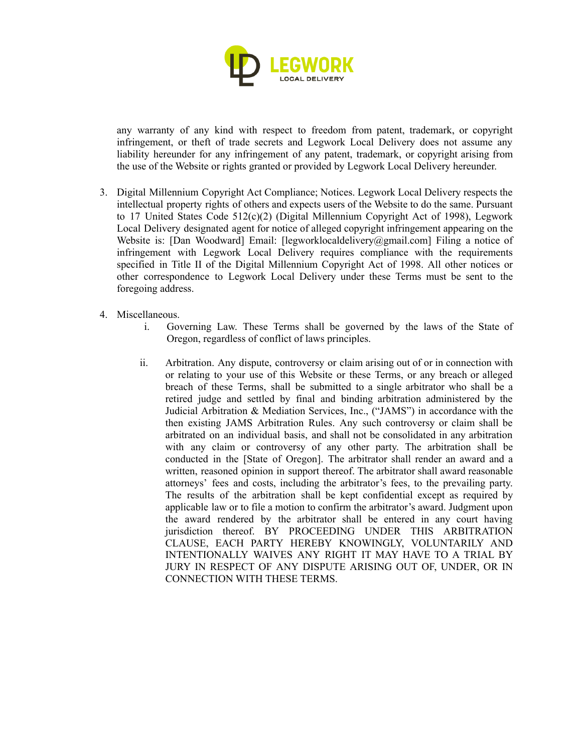

any warranty of any kind with respect to freedom from patent, trademark, or copyright infringement, or theft of trade secrets and Legwork Local Delivery does not assume any liability hereunder for any infringement of any patent, trademark, or copyright arising from the use of the Website or rights granted or provided by Legwork Local Delivery hereunder.

- 3. Digital Millennium Copyright Act Compliance; Notices. Legwork Local Delivery respects the intellectual property rights of others and expects users of the Website to do the same. Pursuant to 17 United States Code  $512(c)(2)$  (Digital Millennium Copyright Act of 1998), Legwork Local Delivery designated agent for notice of alleged copyright infringement appearing on the Website is: [Dan Woodward] Email: [legworklocaldelivery@gmail.com] Filing a notice of infringement with Legwork Local Delivery requires compliance with the requirements specified in Title II of the Digital Millennium Copyright Act of 1998. All other notices or other correspondence to Legwork Local Delivery under these Terms must be sent to the foregoing address.
- 4. Miscellaneous.
	- i. Governing Law. These Terms shall be governed by the laws of the State of Oregon, regardless of conflict of laws principles.
	- ii. Arbitration. Any dispute, controversy or claim arising out of or in connection with or relating to your use of this Website or these Terms, or any breach or alleged breach of these Terms, shall be submitted to a single arbitrator who shall be a retired judge and settled by final and binding arbitration administered by the Judicial Arbitration & Mediation Services, Inc., ("JAMS") in accordance with the then existing JAMS Arbitration Rules. Any such controversy or claim shall be arbitrated on an individual basis, and shall not be consolidated in any arbitration with any claim or controversy of any other party. The arbitration shall be conducted in the [State of Oregon]. The arbitrator shall render an award and a written, reasoned opinion in support thereof. The arbitrator shall award reasonable attorneys' fees and costs, including the arbitrator's fees, to the prevailing party. The results of the arbitration shall be kept confidential except as required by applicable law or to file a motion to confirm the arbitrator's award. Judgment upon the award rendered by the arbitrator shall be entered in any court having jurisdiction thereof. BY PROCEEDING UNDER THIS ARBITRATION CLAUSE, EACH PARTY HEREBY KNOWINGLY, VOLUNTARILY AND INTENTIONALLY WAIVES ANY RIGHT IT MAY HAVE TO A TRIAL BY JURY IN RESPECT OF ANY DISPUTE ARISING OUT OF, UNDER, OR IN CONNECTION WITH THESE TERMS.